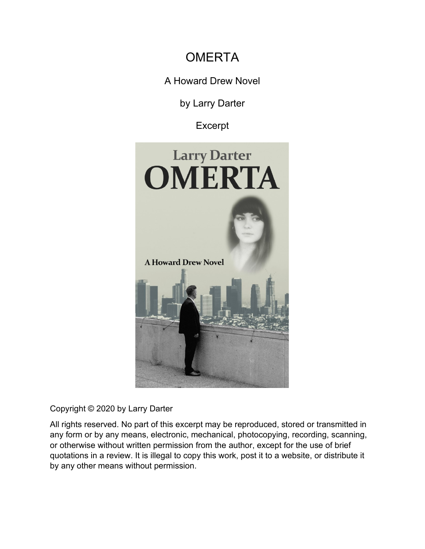## **OMERTA**

A Howard Drew Novel

by Larry Darter

**Excerpt** 



Copyright © 2020 by Larry Darter

All rights reserved. No part of this excerpt may be reproduced, stored or transmitted in any form or by any means, electronic, mechanical, photocopying, recording, scanning, or otherwise without written permission from the author, except for the use of brief quotations in a review. It is illegal to copy this work, post it to a website, or distribute it by any other means without permission.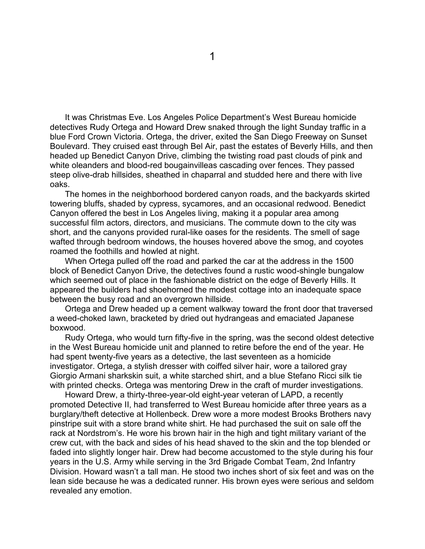It was Christmas Eve. Los Angeles Police Department's West Bureau homicide detectives Rudy Ortega and Howard Drew snaked through the light Sunday traffic in a blue Ford Crown Victoria. Ortega, the driver, exited the San Diego Freeway on Sunset Boulevard. They cruised east through Bel Air, past the estates of Beverly Hills, and then headed up Benedict Canyon Drive, climbing the twisting road past clouds of pink and white oleanders and blood-red bougainvilleas cascading over fences. They passed steep olive-drab hillsides, sheathed in chaparral and studded here and there with live oaks.

The homes in the neighborhood bordered canyon roads, and the backyards skirted towering bluffs, shaded by cypress, sycamores, and an occasional redwood. Benedict Canyon offered the best in Los Angeles living, making it a popular area among successful film actors, directors, and musicians. The commute down to the city was short, and the canyons provided rural-like oases for the residents. The smell of sage wafted through bedroom windows, the houses hovered above the smog, and coyotes roamed the foothills and howled at night.

When Ortega pulled off the road and parked the car at the address in the 1500 block of Benedict Canyon Drive, the detectives found a rustic wood-shingle bungalow which seemed out of place in the fashionable district on the edge of Beverly Hills. It appeared the builders had shoehorned the modest cottage into an inadequate space between the busy road and an overgrown hillside.

Ortega and Drew headed up a cement walkway toward the front door that traversed a weed-choked lawn, bracketed by dried out hydrangeas and emaciated Japanese boxwood.

Rudy Ortega, who would turn fifty-five in the spring, was the second oldest detective in the West Bureau homicide unit and planned to retire before the end of the year. He had spent twenty-five years as a detective, the last seventeen as a homicide investigator. Ortega, a stylish dresser with coiffed silver hair, wore a tailored gray Giorgio Armani sharkskin suit, a white starched shirt, and a blue Stefano Ricci silk tie with printed checks. Ortega was mentoring Drew in the craft of murder investigations.

Howard Drew, a thirty-three-year-old eight-year veteran of LAPD, a recently promoted Detective II, had transferred to West Bureau homicide after three years as a burglary/theft detective at Hollenbeck. Drew wore a more modest Brooks Brothers navy pinstripe suit with a store brand white shirt. He had purchased the suit on sale off the rack at Nordstrom's. He wore his brown hair in the high and tight military variant of the crew cut, with the back and sides of his head shaved to the skin and the top blended or faded into slightly longer hair. Drew had become accustomed to the style during his four years in the U.S. Army while serving in the 3rd Brigade Combat Team, 2nd Infantry Division. Howard wasn't a tall man. He stood two inches short of six feet and was on the lean side because he was a dedicated runner. His brown eyes were serious and seldom revealed any emotion.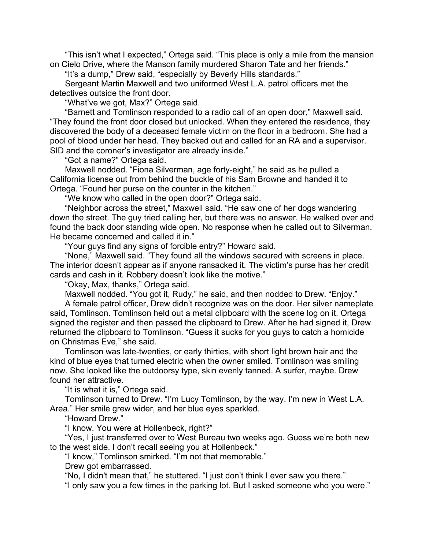"This isn't what I expected," Ortega said. "This place is only a mile from the mansion on Cielo Drive, where the Manson family murdered Sharon Tate and her friends."

"It's a dump," Drew said, "especially by Beverly Hills standards."

Sergeant Martin Maxwell and two uniformed West L.A. patrol officers met the detectives outside the front door.

"What've we got, Max?" Ortega said.

"Barnett and Tomlinson responded to a radio call of an open door," Maxwell said. "They found the front door closed but unlocked. When they entered the residence, they discovered the body of a deceased female victim on the floor in a bedroom. She had a pool of blood under her head. They backed out and called for an RA and a supervisor. SID and the coroner's investigator are already inside."

"Got a name?" Ortega said.

Maxwell nodded. "Fiona Silverman, age forty-eight," he said as he pulled a California license out from behind the buckle of his Sam Browne and handed it to Ortega. "Found her purse on the counter in the kitchen."

"We know who called in the open door?" Ortega said.

"Neighbor across the street," Maxwell said. "He saw one of her dogs wandering down the street. The guy tried calling her, but there was no answer. He walked over and found the back door standing wide open. No response when he called out to Silverman. He became concerned and called it in."

"Your guys find any signs of forcible entry?" Howard said.

"None," Maxwell said. "They found all the windows secured with screens in place. The interior doesn't appear as if anyone ransacked it. The victim's purse has her credit cards and cash in it. Robbery doesn't look like the motive."

"Okay, Max, thanks," Ortega said.

Maxwell nodded. "You got it, Rudy," he said, and then nodded to Drew. "Enjoy."

A female patrol officer, Drew didn't recognize was on the door. Her silver nameplate said, Tomlinson. Tomlinson held out a metal clipboard with the scene log on it. Ortega signed the register and then passed the clipboard to Drew. After he had signed it, Drew returned the clipboard to Tomlinson. "Guess it sucks for you guys to catch a homicide on Christmas Eve," she said.

Tomlinson was late-twenties, or early thirties, with short light brown hair and the kind of blue eyes that turned electric when the owner smiled. Tomlinson was smiling now. She looked like the outdoorsy type, skin evenly tanned. A surfer, maybe. Drew found her attractive.

"It is what it is," Ortega said.

Tomlinson turned to Drew. "I'm Lucy Tomlinson, by the way. I'm new in West L.A. Area." Her smile grew wider, and her blue eyes sparkled.

"Howard Drew."

"I know. You were at Hollenbeck, right?"

"Yes, I just transferred over to West Bureau two weeks ago. Guess we're both new to the west side. I don't recall seeing you at Hollenbeck."

"I know," Tomlinson smirked. "I'm not that memorable."

Drew got embarrassed.

"No, I didn't mean that," he stuttered. "I just don't think I ever saw you there."

"I only saw you a few times in the parking lot. But I asked someone who you were."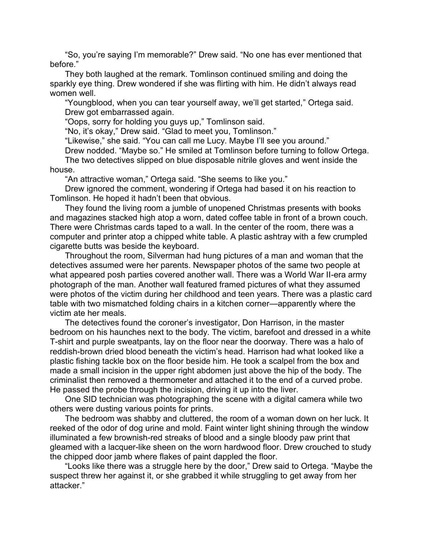"So, you're saying I'm memorable?" Drew said. "No one has ever mentioned that before."

They both laughed at the remark. Tomlinson continued smiling and doing the sparkly eye thing. Drew wondered if she was flirting with him. He didn't always read women well.

"Youngblood, when you can tear yourself away, we'll get started," Ortega said. Drew got embarrassed again.

"Oops, sorry for holding you guys up," Tomlinson said.

"No, it's okay," Drew said. "Glad to meet you, Tomlinson."

"Likewise," she said. "You can call me Lucy. Maybe I'll see you around."

Drew nodded. "Maybe so." He smiled at Tomlinson before turning to follow Ortega. The two detectives slipped on blue disposable nitrile gloves and went inside the

house.

"An attractive woman," Ortega said. "She seems to like you."

Drew ignored the comment, wondering if Ortega had based it on his reaction to Tomlinson. He hoped it hadn't been that obvious.

They found the living room a jumble of unopened Christmas presents with books and magazines stacked high atop a worn, dated coffee table in front of a brown couch. There were Christmas cards taped to a wall. In the center of the room, there was a computer and printer atop a chipped white table. A plastic ashtray with a few crumpled cigarette butts was beside the keyboard.

Throughout the room, Silverman had hung pictures of a man and woman that the detectives assumed were her parents. Newspaper photos of the same two people at what appeared posh parties covered another wall. There was a World War II-era army photograph of the man. Another wall featured framed pictures of what they assumed were photos of the victim during her childhood and teen years. There was a plastic card table with two mismatched folding chairs in a kitchen corner—apparently where the victim ate her meals.

The detectives found the coroner's investigator, Don Harrison, in the master bedroom on his haunches next to the body. The victim, barefoot and dressed in a white T-shirt and purple sweatpants, lay on the floor near the doorway. There was a halo of reddish-brown dried blood beneath the victim's head. Harrison had what looked like a plastic fishing tackle box on the floor beside him. He took a scalpel from the box and made a small incision in the upper right abdomen just above the hip of the body. The criminalist then removed a thermometer and attached it to the end of a curved probe. He passed the probe through the incision, driving it up into the liver.

One SID technician was photographing the scene with a digital camera while two others were dusting various points for prints.

The bedroom was shabby and cluttered, the room of a woman down on her luck. It reeked of the odor of dog urine and mold. Faint winter light shining through the window illuminated a few brownish-red streaks of blood and a single bloody paw print that gleamed with a lacquer-like sheen on the worn hardwood floor. Drew crouched to study the chipped door jamb where flakes of paint dappled the floor.

"Looks like there was a struggle here by the door," Drew said to Ortega. "Maybe the suspect threw her against it, or she grabbed it while struggling to get away from her attacker."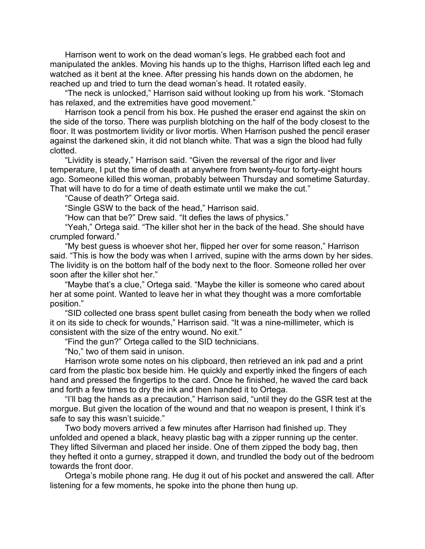Harrison went to work on the dead woman's legs. He grabbed each foot and manipulated the ankles. Moving his hands up to the thighs, Harrison lifted each leg and watched as it bent at the knee. After pressing his hands down on the abdomen, he reached up and tried to turn the dead woman's head. It rotated easily.

"The neck is unlocked," Harrison said without looking up from his work. "Stomach has relaxed, and the extremities have good movement."

Harrison took a pencil from his box. He pushed the eraser end against the skin on the side of the torso. There was purplish blotching on the half of the body closest to the floor. It was postmortem lividity or livor mortis. When Harrison pushed the pencil eraser against the darkened skin, it did not blanch white. That was a sign the blood had fully clotted.

"Lividity is steady," Harrison said. "Given the reversal of the rigor and liver temperature, I put the time of death at anywhere from twenty-four to forty-eight hours ago. Someone killed this woman, probably between Thursday and sometime Saturday. That will have to do for a time of death estimate until we make the cut."

"Cause of death?" Ortega said.

"Single GSW to the back of the head," Harrison said.

"How can that be?" Drew said. "It defies the laws of physics."

"Yeah," Ortega said. "The killer shot her in the back of the head. She should have crumpled forward."

"My best guess is whoever shot her, flipped her over for some reason," Harrison said. "This is how the body was when I arrived, supine with the arms down by her sides. The lividity is on the bottom half of the body next to the floor. Someone rolled her over soon after the killer shot her."

"Maybe that's a clue," Ortega said. "Maybe the killer is someone who cared about her at some point. Wanted to leave her in what they thought was a more comfortable position."

"SID collected one brass spent bullet casing from beneath the body when we rolled it on its side to check for wounds," Harrison said. "It was a nine-millimeter, which is consistent with the size of the entry wound. No exit."

"Find the gun?" Ortega called to the SID technicians.

"No," two of them said in unison.

Harrison wrote some notes on his clipboard, then retrieved an ink pad and a print card from the plastic box beside him. He quickly and expertly inked the fingers of each hand and pressed the fingertips to the card. Once he finished, he waved the card back and forth a few times to dry the ink and then handed it to Ortega.

"I'll bag the hands as a precaution," Harrison said, "until they do the GSR test at the morgue. But given the location of the wound and that no weapon is present, I think it's safe to say this wasn't suicide."

Two body movers arrived a few minutes after Harrison had finished up. They unfolded and opened a black, heavy plastic bag with a zipper running up the center. They lifted Silverman and placed her inside. One of them zipped the body bag, then they hefted it onto a gurney, strapped it down, and trundled the body out of the bedroom towards the front door.

Ortega's mobile phone rang. He dug it out of his pocket and answered the call. After listening for a few moments, he spoke into the phone then hung up.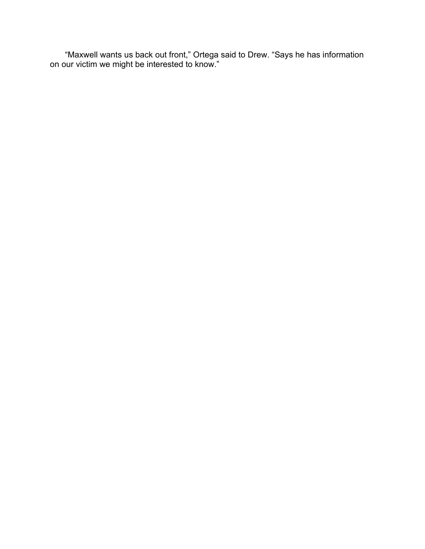"Maxwell wants us back out front," Ortega said to Drew. "Says he has information on our victim we might be interested to know."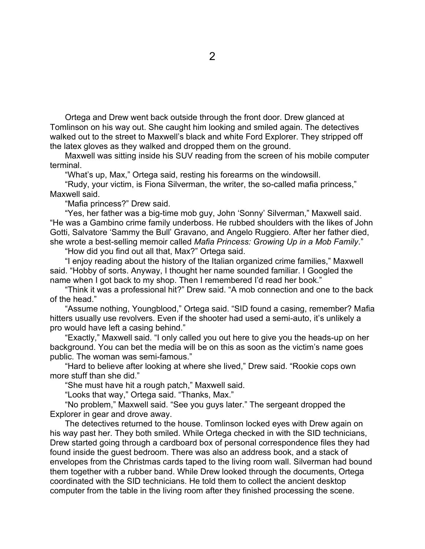Ortega and Drew went back outside through the front door. Drew glanced at Tomlinson on his way out. She caught him looking and smiled again. The detectives walked out to the street to Maxwell's black and white Ford Explorer. They stripped off the latex gloves as they walked and dropped them on the ground.

Maxwell was sitting inside his SUV reading from the screen of his mobile computer terminal.

"What's up, Max," Ortega said, resting his forearms on the windowsill.

"Rudy, your victim, is Fiona Silverman, the writer, the so-called mafia princess," Maxwell said.

"Mafia princess?" Drew said.

"Yes, her father was a big-time mob guy, John 'Sonny' Silverman," Maxwell said. "He was a Gambino crime family underboss. He rubbed shoulders with the likes of John Gotti, Salvatore 'Sammy the Bull' Gravano, and Angelo Ruggiero. After her father died, she wrote a best-selling memoir called *Mafia Princess: Growing Up in a Mob Family*."

"How did you find out all that, Max?" Ortega said.

"I enjoy reading about the history of the Italian organized crime families," Maxwell said. "Hobby of sorts. Anyway, I thought her name sounded familiar. I Googled the name when I got back to my shop. Then I remembered I'd read her book."

"Think it was a professional hit?" Drew said. "A mob connection and one to the back of the head."

"Assume nothing, Youngblood," Ortega said. "SID found a casing, remember? Mafia hitters usually use revolvers. Even if the shooter had used a semi-auto, it's unlikely a pro would have left a casing behind."

"Exactly," Maxwell said. "I only called you out here to give you the heads-up on her background. You can bet the media will be on this as soon as the victim's name goes public. The woman was semi-famous."

"Hard to believe after looking at where she lived," Drew said. "Rookie cops own more stuff than she did."

"She must have hit a rough patch," Maxwell said.

"Looks that way," Ortega said. "Thanks, Max."

"No problem," Maxwell said. "See you guys later." The sergeant dropped the Explorer in gear and drove away.

The detectives returned to the house. Tomlinson locked eyes with Drew again on his way past her. They both smiled. While Ortega checked in with the SID technicians, Drew started going through a cardboard box of personal correspondence files they had found inside the guest bedroom. There was also an address book, and a stack of envelopes from the Christmas cards taped to the living room wall. Silverman had bound them together with a rubber band. While Drew looked through the documents, Ortega coordinated with the SID technicians. He told them to collect the ancient desktop computer from the table in the living room after they finished processing the scene.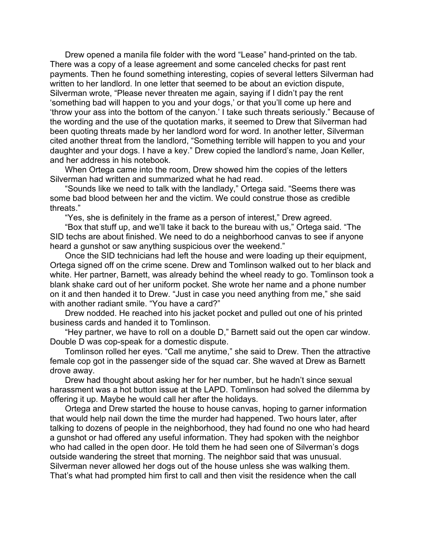Drew opened a manila file folder with the word "Lease" hand-printed on the tab. There was a copy of a lease agreement and some canceled checks for past rent payments. Then he found something interesting, copies of several letters Silverman had written to her landlord. In one letter that seemed to be about an eviction dispute, Silverman wrote, "Please never threaten me again, saying if I didn't pay the rent 'something bad will happen to you and your dogs,' or that you'll come up here and 'throw your ass into the bottom of the canyon.' I take such threats seriously." Because of the wording and the use of the quotation marks, it seemed to Drew that Silverman had been quoting threats made by her landlord word for word. In another letter, Silverman cited another threat from the landlord, "Something terrible will happen to you and your daughter and your dogs. I have a key." Drew copied the landlord's name, Joan Keller, and her address in his notebook.

When Ortega came into the room, Drew showed him the copies of the letters Silverman had written and summarized what he had read.

"Sounds like we need to talk with the landlady," Ortega said. "Seems there was some bad blood between her and the victim. We could construe those as credible threats."

"Yes, she is definitely in the frame as a person of interest," Drew agreed.

"Box that stuff up, and we'll take it back to the bureau with us," Ortega said. "The SID techs are about finished. We need to do a neighborhood canvas to see if anyone heard a gunshot or saw anything suspicious over the weekend."

Once the SID technicians had left the house and were loading up their equipment, Ortega signed off on the crime scene. Drew and Tomlinson walked out to her black and white. Her partner, Barnett, was already behind the wheel ready to go. Tomlinson took a blank shake card out of her uniform pocket. She wrote her name and a phone number on it and then handed it to Drew. "Just in case you need anything from me," she said with another radiant smile. "You have a card?"

Drew nodded. He reached into his jacket pocket and pulled out one of his printed business cards and handed it to Tomlinson.

"Hey partner, we have to roll on a double D," Barnett said out the open car window. Double D was cop-speak for a domestic dispute.

Tomlinson rolled her eyes. "Call me anytime," she said to Drew. Then the attractive female cop got in the passenger side of the squad car. She waved at Drew as Barnett drove away.

Drew had thought about asking her for her number, but he hadn't since sexual harassment was a hot button issue at the LAPD. Tomlinson had solved the dilemma by offering it up. Maybe he would call her after the holidays.

Ortega and Drew started the house to house canvas, hoping to garner information that would help nail down the time the murder had happened. Two hours later, after talking to dozens of people in the neighborhood, they had found no one who had heard a gunshot or had offered any useful information. They had spoken with the neighbor who had called in the open door. He told them he had seen one of Silverman's dogs outside wandering the street that morning. The neighbor said that was unusual. Silverman never allowed her dogs out of the house unless she was walking them. That's what had prompted him first to call and then visit the residence when the call